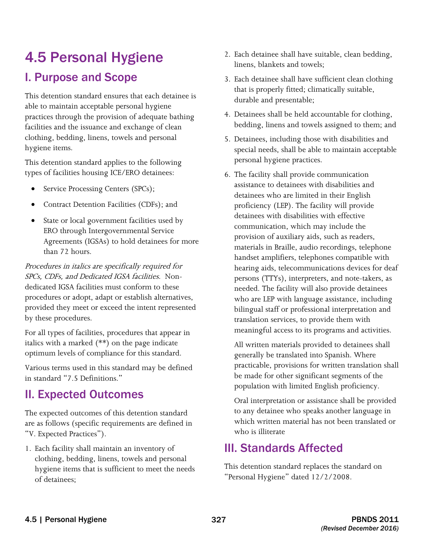# 4.5 Personal Hygiene

# I. Purpose and Scope

 This detention standard ensures that each detainee is able to maintain acceptable personal hygiene practices through the provision of adequate bathing facilities and the issuance and exchange of clean clothing, bedding, linens, towels and personal hygiene items.

This detention standard applies to the following types of facilities housing ICE/ERO detainees:

- Service Processing Centers (SPCs);
- Contract Detention Facilities (CDFs); and
- State or local government facilities used by ERO through Intergovernmental Service Agreements (IGSAs) to hold detainees for more than 72 hours.

 SPCs, CDFs, and Dedicated IGSA facilities. Non-Procedures in italics are specifically required for dedicated IGSA facilities must conform to these procedures or adopt, adapt or establish alternatives, provided they meet or exceed the intent represented by these procedures.

For all types of facilities, procedures that appear in italics with a marked (\*\*) on the page indicate optimum levels of compliance for this standard.

Various terms used in this standard may be defined in standard "7.5 Definitions."

## II. Expected Outcomes

The expected outcomes of this detention standard are as follows (specific requirements are defined in "V. Expected Practices").

1. Each facility shall maintain an inventory of clothing, bedding, linens, towels and personal hygiene items that is sufficient to meet the needs of detainees;

- 2. Each detainee shall have suitable, clean bedding, linens, blankets and towels;
- 3. Each detainee shall have sufficient clean clothing that is properly fitted; climatically suitable, durable and presentable;
- 4. Detainees shall be held accountable for clothing, bedding, linens and towels assigned to them; and
- 5. Detainees, including those with disabilities and special needs, shall be able to maintain acceptable personal hygiene practices.
- 6. The facility shall provide communication assistance to detainees with disabilities and detainees who are limited in their English proficiency (LEP). The facility will provide detainees with disabilities with effective communication, which may include the provision of auxiliary aids, such as readers, materials in Braille, audio recordings, telephone handset amplifiers, telephones compatible with hearing aids, telecommunications devices for deaf persons (TTYs), interpreters, and note-takers, as needed. The facility will also provide detainees who are LEP with language assistance, including bilingual staff or professional interpretation and translation services, to provide them with meaningful access to its programs and activities.

All written materials provided to detainees shall generally be translated into Spanish. Where practicable, provisions for written translation shall be made for other significant segments of the population with limited English proficiency.

Oral interpretation or assistance shall be provided to any detainee who speaks another language in which written material has not been translated or who is illiterate

# III. Standards Affected

 This detention standard replaces the standard on "Personal Hygiene" dated 12/2/2008.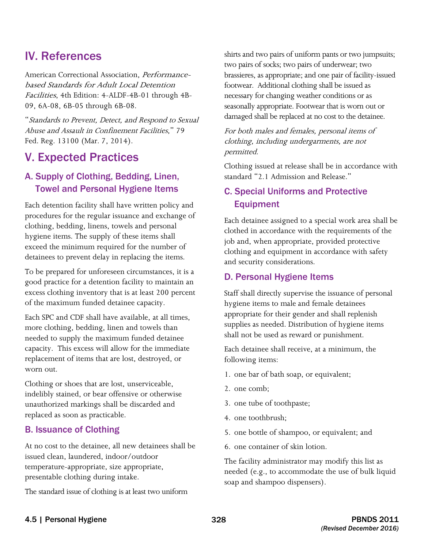### IV. References

American Correctional Association, Performancebased Standards for Adult Local Detention Facilities, 4th Edition: 4-ALDF-4B-01 through 4B-09, 6A-08, 6B-05 through 6B-08.

"Standards to Prevent, Detect, and Respond to Sexual Abuse and Assault in Confinement Facilities," 79 Fed. Reg. 13100 (Mar. 7, 2014).

### V. Expected Practices

#### A. Supply of Clothing, Bedding, Linen, Towel and Personal Hygiene Items

 Each detention facility shall have written policy and procedures for the regular issuance and exchange of clothing, bedding, linens, towels and personal hygiene items. The supply of these items shall exceed the minimum required for the number of detainees to prevent delay in replacing the items.

To be prepared for unforeseen circumstances, it is a good practice for a detention facility to maintain an excess clothing inventory that is at least 200 percent of the maximum funded detainee capacity.

Each SPC and CDF shall have available, at all times, more clothing, bedding, linen and towels than needed to supply the maximum funded detainee capacity. This excess will allow for the immediate replacement of items that are lost, destroyed, or worn out.

Clothing or shoes that are lost, unserviceable, indelibly stained, or bear offensive or otherwise unauthorized markings shall be discarded and replaced as soon as practicable.

#### B. Issuance of Clothing

At no cost to the detainee, all new detainees shall be issued clean, laundered, indoor/outdoor temperature-appropriate, size appropriate, presentable clothing during intake.

The standard issue of clothing is at least two uniform

 two pairs of socks; two pairs of underwear; two brassieres, as appropriate; and one pair of facility-issued footwear. Additional clothing shall be issued as damaged shall be replaced at no cost to the detainee. shirts and two pairs of uniform pants or two jumpsuits; necessary for changing weather conditions or as seasonally appropriate. Footwear that is worn out or

For both males and females, personal items of clothing, including undergarments, are not permitted.

Clothing issued at release shall be in accordance with standard "2.1 Admission and Release."

#### C. Special Uniforms and Protective Equipment

Each detainee assigned to a special work area shall be clothed in accordance with the requirements of the job and, when appropriate, provided protective clothing and equipment in accordance with safety and security considerations.

#### D. Personal Hygiene Items

 appropriate for their gender and shall replenish shall not be used as reward or punishment. Staff shall directly supervise the issuance of personal hygiene items to male and female detainees supplies as needed. Distribution of hygiene items

Each detainee shall receive, at a minimum, the following items:

- 1. one bar of bath soap, or equivalent;
- 2. one comb;
- 3. one tube of toothpaste;
- 4. one toothbrush;
- 5. one bottle of shampoo, or equivalent; and
- 6. one container of skin lotion.

The facility administrator may modify this list as needed (e.g., to accommodate the use of bulk liquid soap and shampoo dispensers).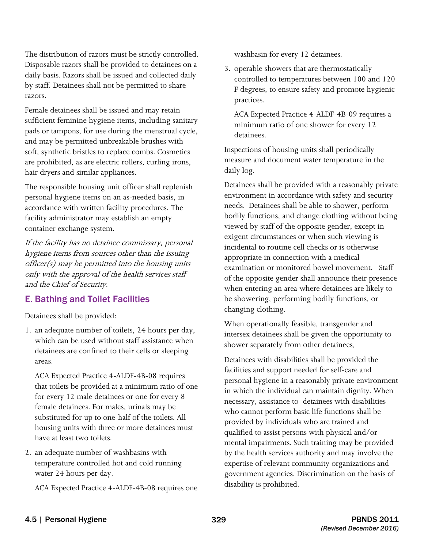The distribution of razors must be strictly controlled. Disposable razors shall be provided to detainees on a daily basis. Razors shall be issued and collected daily by staff. Detainees shall not be permitted to share razors.

Female detainees shall be issued and may retain sufficient feminine hygiene items, including sanitary pads or tampons, for use during the menstrual cycle, and may be permitted unbreakable brushes with soft, synthetic bristles to replace combs. Cosmetics are prohibited, as are electric rollers, curling irons, hair dryers and similar appliances.

The responsible housing unit officer shall replenish personal hygiene items on an as-needed basis, in accordance with written facility procedures. The facility administrator may establish an empty container exchange system.

If the facility has no detainee commissary, personal hygiene items from sources other than the issuing officer(s) may be permitted into the housing units only with the approval of the health services staff and the Chief of Security.

#### E. Bathing and Toilet Facilities

Detainees shall be provided:

1. an adequate number of toilets, 24 hours per day, which can be used without staff assistance when detainees are confined to their cells or sleeping areas.

 that toilets be provided at a minimum ratio of one for every 12 male detainees or one for every 8 female detainees. For males, urinals may be housing units with three or more detainees must have at least two toilets. ACA Expected Practice 4-ALDF-4B-08 requires substituted for up to one-half of the toilets. All

2. an adequate number of washbasins with temperature controlled hot and cold running water 24 hours per day.

ACA Expected Practice 4-ALDF-4B-08 requires one

washbasin for every 12 detainees.

3. operable showers that are thermostatically controlled to temperatures between 100 and 120 F degrees, to ensure safety and promote hygienic practices.

ACA Expected Practice 4-ALDF-4B-09 requires a minimum ratio of one shower for every 12 detainees.

Inspections of housing units shall periodically measure and document water temperature in the daily log.

 needs. Detainees shall be able to shower, perform Detainees shall be provided with a reasonably private environment in accordance with safety and security bodily functions, and change clothing without being viewed by staff of the opposite gender, except in exigent circumstances or when such viewing is incidental to routine cell checks or is otherwise appropriate in connection with a medical examination or monitored bowel movement. Staff of the opposite gender shall announce their presence when entering an area where detainees are likely to be showering, performing bodily functions, or changing clothing.

When operationally feasible, transgender and intersex detainees shall be given the opportunity to shower separately from other detainees.

 Detainees with disabilities shall be provided the facilities and support needed for self-care and personal hygiene in a reasonably private environment in which the individual can maintain dignity. When necessary, assistance to detainees with disabilities who cannot perform basic life functions shall be mental impairments. Such training may be provided provided by individuals who are trained and qualified to assist persons with physical and/or by the health services authority and may involve the expertise of relevant community organizations and government agencies. Discrimination on the basis of disability is prohibited.